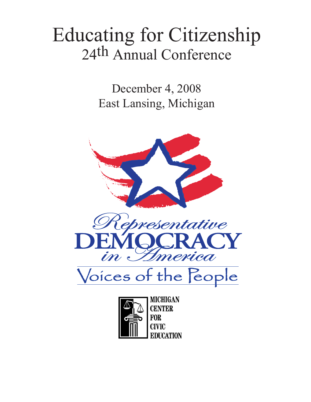## Educating for Citizenship 24th Annual Conference

December 4, 2008 East Lansing, Michigan



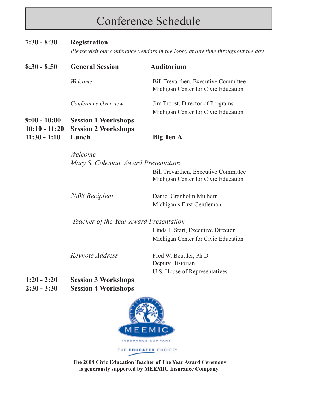## Conference Schedule

#### **7:30 - 8:30 Registration**

*Please visit our conference vendors in the lobby at any time throughout the day.* 

| $8:30 - 8:50$                     | <b>General Session</b>                                   | <b>Auditorium</b>                                                                  |
|-----------------------------------|----------------------------------------------------------|------------------------------------------------------------------------------------|
|                                   | Welcome                                                  | <b>Bill Trevarthen, Executive Committee</b><br>Michigan Center for Civic Education |
|                                   | Conference Overview                                      | Jim Troost, Director of Programs<br>Michigan Center for Civic Education            |
| $9:00 - 10:00$<br>$10:10 - 11:20$ | <b>Session 1 Workshops</b><br><b>Session 2 Workshops</b> |                                                                                    |
| $11:30 - 1:10$                    | Lunch                                                    | <b>Big Ten A</b>                                                                   |

*Welcome Mary S. Coleman Award Presentation*

 Bill Trevarthen, Executive Committee Michigan Center for Civic Education

| 2008 Recipient | Daniel Granholm Mulhern    |
|----------------|----------------------------|
|                | Michigan's First Gentleman |

#### *Teacher of the Year Award Presentation*

Linda J. Start, Executive Director Michigan Center for Civic Education

*Keynote Address* Fred W. Beuttler, Ph.D Deputy Historian U.S. House of Representatives

- **1:20 2:20 Session 3 Workshops**
- **2:30 3:30 Session 4 Workshops**



**The 2008 Civic Education Teacher of The Year Award Ceremony is generously supported by MEEMIC Insurance Company.**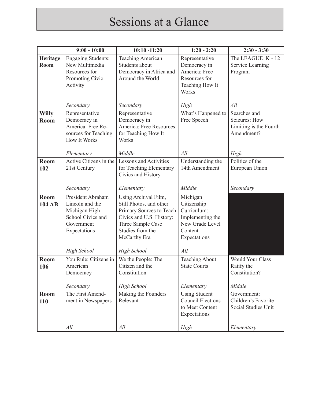## Sessions at a Glance

|                      | $9:00 - 10:00$                                                                                           | $10:10 - 11:20$                                                                                                                                                  | $1:20 - 2:20$                                                                                            | $2:30 - 3:30$                                                         |
|----------------------|----------------------------------------------------------------------------------------------------------|------------------------------------------------------------------------------------------------------------------------------------------------------------------|----------------------------------------------------------------------------------------------------------|-----------------------------------------------------------------------|
| Heritage<br>Room     | <b>Engaging Students:</b><br>New Multimedia<br>Resources for<br>Promoting Civic<br>Activity              | <b>Teaching American</b><br>Students about<br>Democracy in Africa and<br>Around the World                                                                        | Representative<br>Democracy in<br>America: Free<br>Resources for<br>Teaching How It<br>Works             | The LEAGUE K - 12<br>Service Learning<br>Program                      |
|                      | Secondary                                                                                                | Secondary                                                                                                                                                        | High                                                                                                     | All                                                                   |
| <b>Willy</b><br>Room | Representative<br>Democracy in<br>America: Free Re-<br>sources for Teaching<br><b>How It Works</b>       | Representative<br>Democracy in<br>America: Free Resources<br>for Teaching How It<br>Works                                                                        | What's Happened to<br>Free Speech                                                                        | Searches and<br>Seizures: How<br>Limiting is the Fourth<br>Amendment? |
|                      | Elementary                                                                                               | Middle                                                                                                                                                           | All                                                                                                      | High                                                                  |
| Room<br>102          | Active Citizens in the<br>21st Century                                                                   | <b>Lessons and Activities</b><br>for Teaching Elementary<br>Civics and History                                                                                   | Understanding the<br>14th Amendment                                                                      | Politics of the<br>European Union                                     |
|                      | Secondary                                                                                                | Elementary                                                                                                                                                       | Middle                                                                                                   | Secondary                                                             |
| Room<br>104 AB       | President Abraham<br>Lincoln and the<br>Michigan High<br>School Civics and<br>Government<br>Expectations | Using Archival Film,<br>Still Photos, and other<br>Primary Sources to Teach<br>Civics and U.S. History:<br>Three Sample Case<br>Studies from the<br>McCarthy Era | Michigan<br>Citizenship<br>Curriculum:<br>Implementing the<br>New Grade Level<br>Content<br>Expectations |                                                                       |
|                      | <b>High School</b>                                                                                       | High School                                                                                                                                                      | All                                                                                                      |                                                                       |
| Room<br>106          | You Rule: Citizens in<br>American<br>Democracy<br>Secondary                                              | We the People: The<br>Citizen and the<br>Constitution<br>High School                                                                                             | <b>Teaching About</b><br><b>State Courts</b><br>Elementary                                               | <b>Would Your Class</b><br>Ratify the<br>Constitution?<br>Middle      |
| Room                 | The First Amend-                                                                                         | Making the Founders                                                                                                                                              | <b>Using Student</b>                                                                                     | Government:                                                           |
| 110                  | ment in Newspapers                                                                                       | Relevant                                                                                                                                                         | <b>Council Elections</b><br>to Meet Content<br>Expectations                                              | Children's Favorite<br>Social Studies Unit                            |
|                      | All                                                                                                      | All                                                                                                                                                              | High                                                                                                     | Elementary                                                            |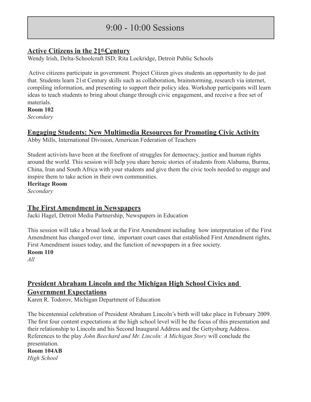#### $9.00 - 10.00$  Sessions

#### **Active Citizens in the 21st Century**

Wendy Irish, Delta-Schoolcraft ISD; Rita Lockridge, Detroit Public Schools

 Active citizens participate in government. Project Citizen gives students an opportunity to do just that. Students learn 21st Century skills such as collaboration, brainstorming, research via internet, compiling information, and presenting to support their policy idea. Workshop participants will learn ideas to teach students to bring about change through civic engagement, and receive a free set of materials.

**Room 102**

*Secondary*

#### **Engaging Students: New Multimedia Resources for Promoting Civic Activity**

Abby Mills, International Division, American Federation of Teachers

Student activists have been at the forefront of struggles for democracy, justice and human rights around the world. This session will help you share heroic stories of students from Alabama, Burma, China, Iran and South Africa with your students and give them the civic tools needed to engage and inspire them to take action in their own communities.

**Heritage Room**

*Secondary*

#### **The First Amendment in Newspapers**

Jacki Hagel, Detroit Media Partnership, Newspapers in Education

This session will take a broad look at the First Amendment including how interpretation of the First Amendment has changed over time, important court cases that established First Amendment rights, First Amendment issues today, and the function of newspapers in a free society. **Room 110**

*All*

## **President Abraham Lincoln and the Michigan High School Civics and**

#### **Government Expectations**

Karen R. Todorov, Michigan Department of Education

The bicentennial celebration of President Abraham Lincoln's birth will take place in February 2009. The first four content expectations at the high school level will be the focus of this presentation and their relationship to Lincoln and his Second Inaugural Address and the Gettysburg Address. References to the play *John Beechard and Mr. Lincoln: A Michigan Story* will conclude the presentation.

**Room 104AB** *High School*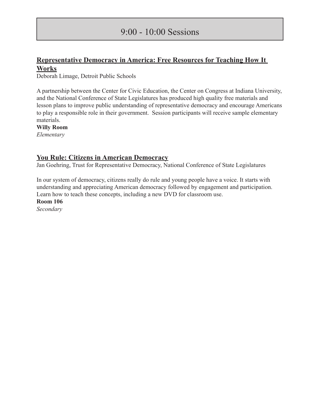#### 9:00 - 10:00 Sessions

#### **Representative Democracy in America: Free Resources for Teaching How It Works**

Deborah Limage, Detroit Public Schools

A partnership between the Center for Civic Education, the Center on Congress at Indiana University, and the National Conference of State Legislatures has produced high quality free materials and lesson plans to improve public understanding of representative democracy and encourage Americans to play a responsible role in their government. Session participants will receive sample elementary materials.

**Willy Room** *Elementary*

#### **You Rule: Citizens in American Democracy**

Jan Goehring, Trust for Representative Democracy, National Conference of State Legislatures

In our system of democracy, citizens really do rule and young people have a voice. It starts with understanding and appreciating American democracy followed by engagement and participation. Learn how to teach these concepts, including a new DVD for classroom use.

**Room 106**

*Secondary*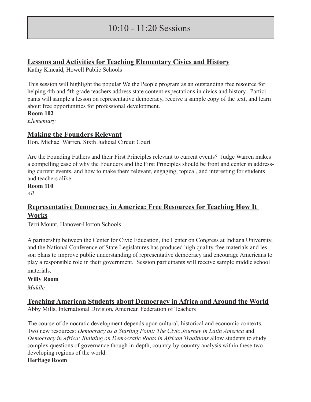#### $10 \cdot 10 - 11 \cdot 20$  Sessions

#### **Lessons and Activities for Teaching Elementary Civics and History**

Kathy Kincaid, Howell Public Schools

This session will highlight the popular We the People program as an outstanding free resource for helping 4th and 5th grade teachers address state content expectations in civics and history. Participants will sample a lesson on representative democracy, receive a sample copy of the text, and learn about free opportunities for professional development.

**Room 102**

*Elementary*

#### **Making the Founders Relevant**

Hon. Michael Warren, Sixth Judicial Circuit Court

Are the Founding Fathers and their First Principles relevant to current events? Judge Warren makes a compelling case of why the Founders and the First Principles should be front and center in addressing current events, and how to make them relevant, engaging, topical, and interesting for students and teachers alike.

**Room 110**

*All*

#### **Representative Democracy in America: Free Resources for Teaching How It Works**

Terri Mount, Hanover-Horton Schools

A partnership between the Center for Civic Education, the Center on Congress at Indiana University, and the National Conference of State Legislatures has produced high quality free materials and lesson plans to improve public understanding of representative democracy and encourage Americans to play a responsible role in their government. Session participants will receive sample middle school materials.

#### **Willy Room**

*Middle*

#### **Teaching American Students about Democracy in Africa and Around the World**

Abby Mills, International Division, American Federation of Teachers

The course of democratic development depends upon cultural, historical and economic contexts. Two new resources: *Democracy as a Starting Point: The Civic Journey in Latin America* and *Democracy in Africa: Building on Democratic Roots in African Traditions* allow students to study complex questions of governance though in-depth, country-by-country analysis within these two developing regions of the world.

#### **Heritage Room**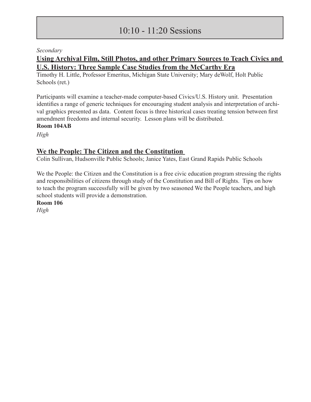#### 10:10 - 11:20 Sessions

#### *Secondary*

#### **Using Archival Film, Still Photos, and other Primary Sources to Teach Civics and U.S. History: Three Sample Case Studies from the McCarthy Era**

Timothy H. Little, Professor Emeritus, Michigan State University; Mary deWolf, Holt Public Schools (ret.)

Participants will examine a teacher-made computer-based Civics/U.S. History unit. Presentation identifies a range of generic techniques for encouraging student analysis and interpretation of archival graphics presented as data. Content focus is three historical cases treating tension between first amendment freedoms and internal security. Lesson plans will be distributed. **Room 104AB**

*High*

#### **We the People: The Citizen and the Constitution**

Colin Sullivan, Hudsonville Public Schools; Janice Yates, East Grand Rapids Public Schools

We the People: the Citizen and the Constitution is a free civic education program stressing the rights and responsibilities of citizens through study of the Constitution and Bill of Rights. Tips on how to teach the program successfully will be given by two seasoned We the People teachers, and high school students will provide a demonstration.

**Room 106**

*High*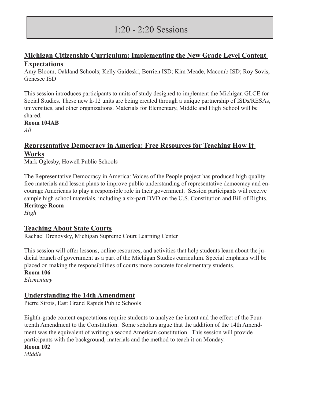#### 1:20 - 2:20 Sessions

#### **Michigan Citizenship Curriculum: Implementing the New Grade Level Content Expectations**

Amy Bloom, Oakland Schools; Kelly Gaideski, Berrien ISD; Kim Meade, Macomb ISD; Roy Sovis, Genesee ISD

This session introduces participants to units of study designed to implement the Michigan GLCE for Social Studies. These new k-12 units are being created through a unique partnership of ISDs/RESAs, universities, and other organizations. Materials for Elementary, Middle and High School will be shared.

#### **Room 104AB**

*All*

#### **Representative Democracy in America: Free Resources for Teaching How It Works**

Mark Oglesby, Howell Public Schools

The Representative Democracy in America: Voices of the People project has produced high quality free materials and lesson plans to improve public understanding of representative democracy and encourage Americans to play a responsible role in their government. Session participants will receive sample high school materials, including a six-part DVD on the U.S. Constitution and Bill of Rights. **Heritage Room**

*High*

#### **Teaching About State Courts**

Rachael Drenovsky, Michigan Supreme Court Learning Center

This session will offer lessons, online resources, and activities that help students learn about the judicial branch of government as a part of the Michigan Studies curriculum. Special emphasis will be placed on making the responsibilities of courts more concrete for elementary students.

**Room 106**

*Elementary*

#### **Understanding the 14th Amendment**

Pierre Sirois, East Grand Rapids Public Schools

Eighth-grade content expectations require students to analyze the intent and the effect of the Fourteenth Amendment to the Constitution. Some scholars argue that the addition of the 14th Amendment was the equivalent of writing a second American constitution. This session will provide participants with the background, materials and the method to teach it on Monday.

**Room 102**

*Middle*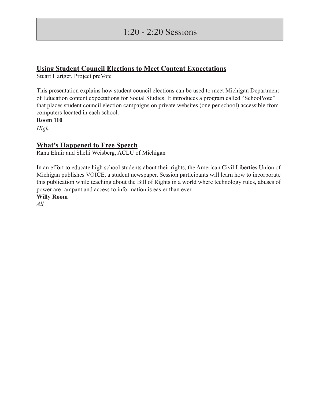#### 1:20 - 2:20 Sessions

#### **Using Student Council Elections to Meet Content Expectations**

Stuart Hartger, Project preVote

This presentation explains how student council elections can be used to meet Michigan Department of Education content expectations for Social Studies. It introduces a program called "SchoolVote" that places student council election campaigns on private websites (one per school) accessible from computers located in each school.

**Room 110**

*High*

#### **What's Happened to Free Speech**

Rana Elmir and Shelli Weisberg, ACLU of Michigan

In an effort to educate high school students about their rights, the American Civil Liberties Union of Michigan publishes VOICE, a student newspaper. Session participants will learn how to incorporate this publication while teaching about the Bill of Rights in a world where technology rules, abuses of power are rampant and access to information is easier than ever.

**Willy Room**

*All*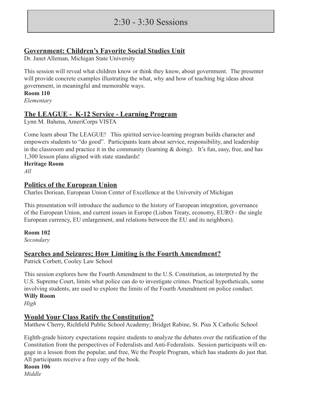#### 2:30 - 3:30 Sessions

#### **Government: Children's Favorite Social Studies Unit**

Dr. Janet Alleman, Michigan State University

This session will reveal what children know or think they know, about government. The presenter will provide concrete examples illustrating the what, why and how of teaching big ideas about government, in meaningful and memorable ways.

**Room 110**

*Elementary*

#### **The LEAGUE - K-12 Service - Learning Program**

Lynn M. Bahena, AmeriCorps VISTA

Come learn about The LEAGUE! This spirited service-learning program builds character and empowers students to "do good". Participants learn about service, responsibility, and leadership in the classroom and practice it in the community (learning  $&$  doing). It's fun, easy, free, and has 1,300 lesson plans aligned with state standards!

#### **Heritage Room**

*All*

#### **Politics of the European Union**

Charles Doriean, European Union Center of Excellence at the University of Michigan

This presentation will introduce the audience to the history of European integration, governance of the European Union, and current issues in Europe (Lisbon Treaty, economy, EURO - the single European currency, EU enlargement, and relations between the EU and its neighbors).

#### **Room 102**

*Secondary*

#### **Searches and Seizures; How Limiting is the Fourth Amendment?**

Patrick Corbett, Cooley Law School

This session explores how the Fourth Amendment to the U.S. Constitution, as interpreted by the U.S. Supreme Court, limits what police can do to investigate crimes. Practical hypotheticals, some involving students, are used to explore the limits of the Fourth Amendment on police conduct. **Willy Room**

*High*

#### **Would Your Class Ratify the Constitution?**

Matthew Cherry, Richfield Public School Academy; Bridget Rabine, St. Pius X Catholic School

Eighth-grade history expectations require students to analyze the debates over the ratification of the Constitution from the perspectives of Federalists and Anti-Federalists. Session participants will engage in a lesson from the popular, and free, We the People Program, which has students do just that. All participants receive a free copy of the book.

**Room 106**

*Middle*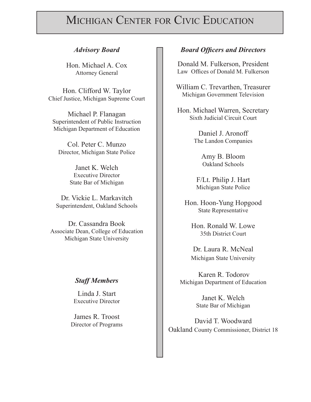### MICHIGAN CENTER FOR CIVIC EDUCATION

Hon. Michael A. Cox Attorney General

Hon. Clifford W. Taylor Chief Justice, Michigan Supreme Court

Michael P. Flanagan Superintendent of Public Instruction Michigan Department of Education

Col. Peter C. Munzo Director, Michigan State Police

> Janet K. Welch Executive Director State Bar of Michigan

Dr. Vickie L. Markavitch Superintendent, Oakland Schools

Dr. Cassandra Book Associate Dean, College of Education Michigan State University

#### *Staff Members*

Linda J. Start Executive Director

James R. Troost Director of Programs

#### *Advisory Board Board Officers and Directors*

Donald M. Fulkerson, President Law Offices of Donald M. Fulkerson

William C. Trevarthen, Treasurer Michigan Government Television

Hon. Michael Warren, Secretary Sixth Judicial Circuit Court

> Daniel J. Aronoff The Landon Companies

> > Amy B. Bloom Oakland Schools

F/Lt. Philip J. Hart Michigan State Police

Hon. Hoon-Yung Hopgood State Representative

Hon. Ronald W. Lowe 35th District Court

Dr. Laura R. McNeal Michigan State University

Karen R. Todorov Michigan Department of Education

> Janet K. Welch State Bar of Michigan

David T. Woodward Oakland County Commissioner, District 18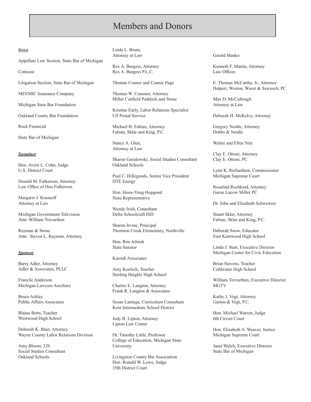#### *Gold*

Appellate Law Section, State Bar of Michigan

Comcast

Litigation Section, State Bar of Michigan

MEEMIC Insurance Company

Michigan State Bar Foundation

Oakland County Bar Foundation

Rock Financial

State Bar of Michigan

#### *Sustainer*

Hon. Avern L. Cohn, Judge U.S. District Court

Donald M. Fulkerson, Attorney Law Office of Don Fulkerson

Margaret J. Krasnoff Attorney at Law

Michigan Government Television Attn: William Trevarthen

Rayman & Stone Attn: Steven L. Rayman, Attorney

#### *Sponsor*

Barry Adler, Attorney Adler & Associates, PLLC

Francile Anderson Michigan Lawyers Auxiliary

Bruce Ashley Public Affairs Associates

Blaine Betts, Teacher Westwood High School

Deborah K. Blair, Attorney Wayne County Labor Relations Division

Amy Bloom, J.D. Social Studies Consultant Oakland Schools

Linda L. Bruin, Attorney at Law

Rex A. Burgess, Attorney Rex A. Burgess P.L.C.

Thomas Conner and Connie Page

Thomas W. Cranmer, Attorney Miller Canfield Paddock and Stone

Kristine Early, Labor Relations Specialist US Postal Service

Michael H. Fabian, Attorney Fabian, Sklar and King, P.C.

Nancy A. Glen, Attorney at Law

Sharon Goralewski, Social Studies Consultant Oakland Schools

Paul C. Hillegonds, Senior Vice President DTE Energy

Hon. Hoon-Yung Hopgood State Representative

Wendy Irish, Consultant Delta-Schoolcraft ISD

Sharon Irvine, Principal Thornton Creek Elementary, Northville

Hon. Ron Jelinek State Senator

#### Karoub Associates

Amy Koelsch, Teacher Sterling Heights High School

Charles E. Langton, Attorney Frank R. Langton & Associates

Susan Laninga, Curriculum Consultant Kent Intermediate School District

Jody B. Lipton, Attorney Lipton Law Center

Dr. Timothy Little, Professor College of Education, Michigan State University

Livingston County Bar Association Hon. Ronald W. Lowe, Judge 35th District Court

Gerald Manko

Kenneth F. Martin, Attorney Law Offices

E. Thomas McCarthy, Jr., Attorney Halpert, Weston, Wuori & Sawusch, PC

Max D. McCullough Attorney at Law

Deborah H. McKelvy, Attorney

Gregory Neidle, Attorney Dobbs & Neidle

Walter and Ellen Nitz

Clay E. Ottoni, Attorney Clay E. Ottoni, PC

Lynn K. Richardson, Commissioner Michigan Supreme Court

Rosalind Rochkind, Attorney Garan Lucow Miller PC

Dr. John and Elizabeth Schweitzer

Stuart Sklar, Attorney Fabian, Sklar and King, P.C.

Deborah Snow, Educator East Kentwood High School

Linda J. Start, Executive Director Michigan Center for Civic Education

Brian Stevens, Teacher Coldwater High School

William Trevarthen, Executive Director **MGTV** 

Kathy J. Vogt, Attorney Garton & Vogt, P.C.

Hon. Michael Warren, Judge 6th Circuit Court

Hon. Elizabeth A. Weaver, Justice Michigan Supreme Court

Janet Welch, Executive Director State Bar of Michigan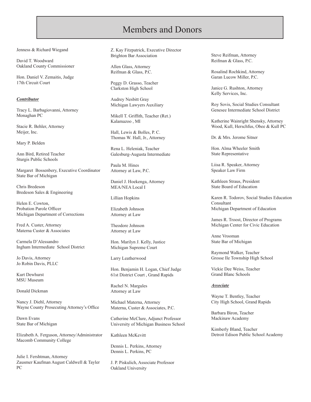Jenness & Richard Wiegand

David T. Woodward Oakland County Commissioner

Hon. Daniel V. Zemaitis, Judge 17th Circuit Court

#### *Contributor*

Tracy L. Barbagiovanni, Attorney Monaghan PC

Stacie R. Behler, Attorney Meijer, Inc.

Mary P. Belden

Ann Bird, Retired Teacher Sturgis Public Schools

Margaret Bossenbery, Executive Coordinator State Bar of Michigan

Chris Bredeson Bredeson Sales & Engineering

Helen E. Cowton, Probation Parole Officer Michigan Department of Corrections

Fred A. Custer, Attorney Materna Custer & Associates

Carmela D'Alessandro Ingham Intermediate School District

Jo Davis, Attorney Jo Robin Davis, PLLC

Kurt Dewhurst MSU Museum

Donald Dickman

Nancy J. Diehl, Attorney Wayne County Prosecuting Attorney's Office

Dawn Evans State Bar of Michigan

Elizabeth A. Ferguson, Attorney/Administrator Macomb Community College

Julie I. Fershtman, Attorney Zausmer Kaufman August Caldwell & Tayler PC

Z. Kay Fitzpatrick, Executive Director Brighton Bar Association

Allen Glass, Attorney Reifman & Glass, P.C.

Peggy D. Grasso, Teacher Clarkston High School

Audrey Nesbitt Gray Michigan Lawyers Auxiliary

Mikell T. Griffith, Teacher (Ret.) Kalamazoo , MI

Hall, Lewis & Bolles, P. C. Thomas W. Hall, Jr., Attorney

Rena L. Heleniak, Teacher Galesburg-Augusta Intermediate

Paula M. Hines Attorney at Law, P.C.

Daniel J. Hoekenga, Attorney MEA/NEA Local I

Lillian Hopkins

Elizabeth Johnson Attorney at Law

Theodore Johnson Attorney at Law

Hon. Marilyn J. Kelly, Justice Michigan Supreme Court

Larry Leatherwood

Hon. Benjamin H. Logan, Chief Judge 61st District Court , Grand Rapids

Rachel N. Margules Attorney at Law

Michael Materna, Attorney Materna, Custer & Associates, P.C.

Catherine McClure, Adjunct Professor University of Michigan Business School

Kathleen McKevitt

Dennis L. Perkins, Attorney Dennis L. Perkins, PC

J. P. Piskulich, Associate Professor Oakland University

Steve Reifman, Attorney Reifman & Glass, P.C.

Rosalind Rochkind, Attorney Garan Lucow Miller, P.C.

Janice G. Rushton, Attorney Kelly Services, Inc.

Roy Sovis, Social Studies Consultant Genesee Intermediate School District

Katherine Wainright Shensky, Attorney Wood, Kull, Herschfus, Obee & Kull PC

Dr. & Mrs. Jerome Sitner

Hon. Alma Wheeler Smith State Representative

Liisa R. Speaker, Attorney Speaker Law Firm

Kathleen Straus, President State Board of Education

Karen R. Todorov, Social Studies Education Consultant Michigan Department of Education

James R. Troost, Director of Programs Michigan Center for Civic Education

Anne Vrooman State Bar of Michigan

Raymond Walker, Teacher Grosse Ile Township High School

Vickie Dee Weiss, Teacher Grand Blanc Schools

#### *Associate*

Wayne T. Bentley, Teacher City High School, Grand Rapids

Barbara Biron, Teacher Mackinaw Academy

Kimberly Bland, Teacher Detroit Edison Public School Academy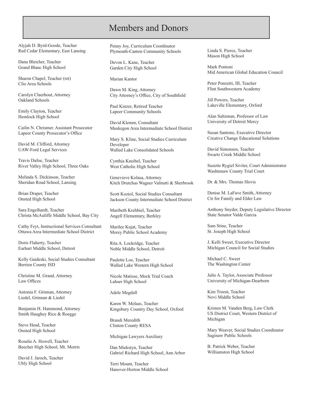Alyjah D. Byrd-Goode, Teacher Red Cedar Elementary, East Lansing

Dana Bleicher, Teacher Grand Blanc High School

Sharon Chapel, Teacher (ret) Clio Area Schools

Carolyn Claerhout, Attorney Oakland Schools

Emily Clayton, Teacher Hemlock High School

Cailin N. Chrismer. Assistant Prosecutor Lapeer County Prosecutor's Office

David M. Clifford, Attorney UAW-Ford Legal Services

Travis Dafoe, Teacher River Valley High School, Three Oaks

Melinda S. Dickinson, Teacher Sheridan Road School, Lansing

Brian Draper, Teacher Onsted High School

Sara Engelhardt, Teacher Christa McAuliffe Middle School, Bay City

Cathy Feyt, Instructional Services Consultant Ottawa Area Intermediate School District

Doris Flaherty, Teacher Earhart Middle School, Detroit

Kelly Gaideski, Social Studies Consultant Berrien County ISD

Christine M. Grand, Attorney Law Offices

Antonia F. Grinnan, Attorney Liedel, Grinnan & Liedel

Benjamin H. Hammond, Attorney Smith Haughey Rice & Roegge

Steve Head, Teacher Onsted High School

Rosalie A. Howell, Teacher Beecher High School, Mt. Morris

David J. Jaroch, Teacher Ubly High School

Penny Joy, Curriculum Coordinator Plymouth-Canton Community Schools

Devon L. Kane, Teacher Garden City High School

Marian Kantor

Dawn M. King, Attorney City Attorney's Office, City of Southfield

Paul Kinzer, Retired Teacher Lapeer Community Schools

David Klemm, Consultant Muskegon Area Intermediate School District

Mary S. Kline, Social Studies Curriculum Developer Walled Lake Consolidated Schools

Cynthia Kneibel, Teacher West Catholic High School

Genevieve Kolasa, Attorney Kitch Drutchas Wagner Valitutti & Sherbrook

Scott Koziol, Social Studies Consultant Jackson County Intermediate School District

Maribeth Krehbiel, Teacher Angell Elementary, Berkley

Marilee Kujat, Teacher Morey Public School Academy

Rita A. Lockridge, Teacher Noble Middle School, Detroit

Paulette Loe, Teacher Walled Lake Western High School

Nicole Matisse, Mock Trial Coach Lahser High School

Adele Megdall

Karen W. Melaas, Teacher Kingsbury Country Day School, Oxford

Brandi Meredith Clinton County RESA

Michigan Lawyers Auxiliary

Dan Miekstyn, Teacher Gabriel Richard High School, Ann Arbor

Terri Mount, Teacher Hanover-Horton Middle School Linda S. Pierce, Teacher Mason High School

Mark Pontoni Mid American Global Education Council

Peter Ponzetti, III, Teacher Flint Southwestern Academy

Jill Powers, Teacher Lakeville Elementary, Oxford

Alan Saltzman, Professor of Law University of Detroit Mercy

Susan Santone, Executive Director Creative Change Educational Solutions

David Simonsen, Teacher Swartz Creek Middle School

Suzette Rygiel Siviter, Court Administrator Washtenaw County Trial Court

Dr. & Mrs. Thomas Slovis

Denise M. LaFave Smith, Attorney Ctr for Family and Elder Law

Anthony Snyder, Deputy Legislative Director State Senator Valde Garcia

Sam Stine, Teacher St. Joseph High School

J. Kelli Sweet, Executive Director Michigan Council for Social Studies

Michael C. Sweet The Washington Center

Julie A. Taylor, Associate Professor University of Michigan-Dearborn

Kim Troost, Teacher Novi Middle School

Kristen M. Vanden Berg, Law Clerk US District Court, Western District of Michigan

Mary Weaver, Social Studies Coordinator Saginaw Public Schools

B. Patrick Weber, Teacher Williamston High School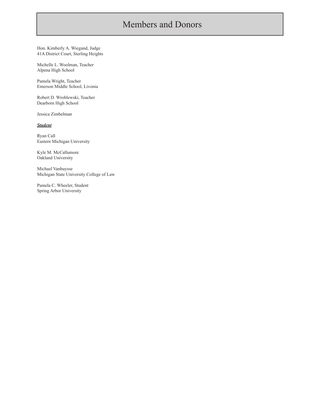Hon. Kimberly A. Wiegand, Judge 41A District Court, Sterling Heights

Michelle L. Woolman, Teacher Alpena High School

Pamela Wright, Teacher Emerson Middle School, Livonia

Robert D. Wroblewski, Teacher Dearborn High School

Jessica Zimbelman

*Student*

Ryan Call Eastern Michigan University

Kyle M. McCallumore Oakland University

Michael Vanhuysse Michigan State University College of Law

Pamela C. Wheeler, Student Spring Arbor University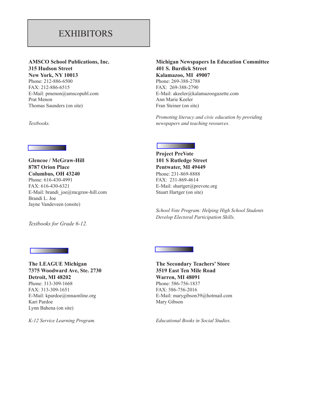#### **EXHIBITORS**

## **315 Hudson Street 401 S. Burdick Street**

Phone: 212-886-6500Phone: 269-388-2788 FAX: 212-886-6515 FAX: 269-388-2790 Prat Menon Ann Marie Keeler Thomas Saunders (on site) Fran Steiner (on site)

Ī

## **AMSCO School Publications, Inc. Michigan Newspapers In Education Committee New York, NY 10013 Kalamazoo, MI 49007** E-Mail: pmenon@amscopubl.com E-Mail: akeeler@kalamazoogazette.com

*Promoting literacy and civic education by providing literacy and civic education by providing*  $\eta$  *newspapers and teaching resources. Textbooks. newspapers and teaching resources.*

#### **Glencoe / McGraw-Hill 101 S Rutledge Street** 8787 Orion Place Pentwater, MI 49449 **Columbus, OH 43240** Phone: 231-869-8888

Phone: 616-430-4991FAX: 231-869-4614 FAX: 616-430-6321E-Mail: shartger@prevote.org E-Mail: brandi  $joe@megraw-hill.com$  Stuart Hartger (on site) Brandi L. Joe Jayne Vandeveen (onsite)

*Textbooks for Grade 6-12.* 

# **Project PreVote**

 *School Vote Program: Helping High School Students Develop Electoral Participation Skills.*

#### **7375 Woodward Ave, Ste. 2730 3519 East Ten Mile Road Detroit, MI 48202 Warren, MI 48091** Phone: 313-309-1668 Phone: 586-756-1837 FAX: 313-309-1651 FAX: 586-756-2016 Kari Pardoe Mary Gibson Lynn Bahena (on site)

# **The LEAGUE Michigan The Secondary Teachers' Store** E-Mail: kpardoe@mnaonline.org E-Mail: marygibson39@hotmail.com

*K-12 Service Learning Program. Educational Books in Social Studies.*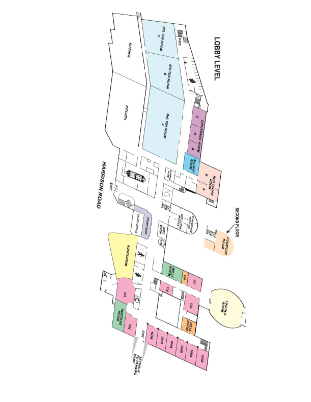